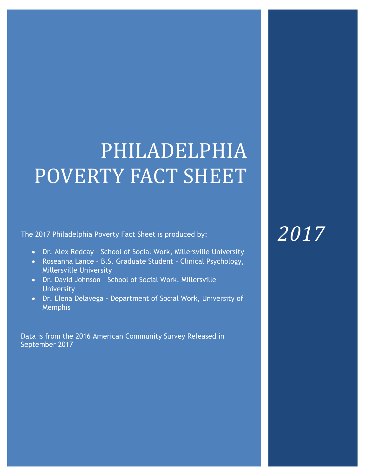# PHILADELPHIA POVERTY FACT SHEET

The 2017 Philadelphia Poverty Fact Sheet is produced by:

- Dr. Alex Redcay School of Social Work, Millersville University
- Roseanna Lance B.S. Graduate Student Clinical Psychology, Millersville University
- Dr. David Johnson School of Social Work, Millersville **University**
- Dr. Elena Delavega Department of Social Work, University of Memphis

Data is from the 2016 American Community Survey Released in September 2017

## *2017*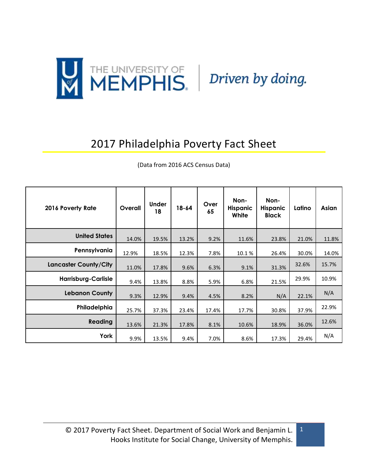

### 2017 Philadelphia Poverty Fact Sheet

(Data from 2016 ACS Census Data)

| 2016 Poverty Rate            | Overall | <b>Under</b><br>18 | $18 - 64$ | Over<br>65 | Non-<br><b>Hispanic</b><br>White | Non-<br><b>Hispanic</b><br><b>Black</b> | Latino | Asian |
|------------------------------|---------|--------------------|-----------|------------|----------------------------------|-----------------------------------------|--------|-------|
| <b>United States</b>         | 14.0%   | 19.5%              | 13.2%     | 9.2%       | 11.6%                            | 23.8%                                   | 21.0%  | 11.8% |
| Pennsylvania                 | 12.9%   | 18.5%              | 12.3%     | 7.8%       | 10.1%                            | 26.4%                                   | 30.0%  | 14.0% |
| <b>Lancaster County/City</b> | 11.0%   | 17.8%              | 9.6%      | 6.3%       | 9.1%                             | 31.3%                                   | 32.6%  | 15.7% |
| <b>Harrisburg-Carlisle</b>   | 9.4%    | 13.8%              | 8.8%      | 5.9%       | 6.8%                             | 21.5%                                   | 29.9%  | 10.9% |
| <b>Lebanon County</b>        | 9.3%    | 12.9%              | 9.4%      | 4.5%       | 8.2%                             | N/A                                     | 22.1%  | N/A   |
| Philadelphia                 | 25.7%   | 37.3%              | 23.4%     | 17.4%      | 17.7%                            | 30.8%                                   | 37.9%  | 22.9% |
| <b>Reading</b>               | 13.6%   | 21.3%              | 17.8%     | 8.1%       | 10.6%                            | 18.9%                                   | 36.0%  | 12.6% |
| York                         | 9.9%    | 13.5%              | 9.4%      | 7.0%       | 8.6%                             | 17.3%                                   | 29.4%  | N/A   |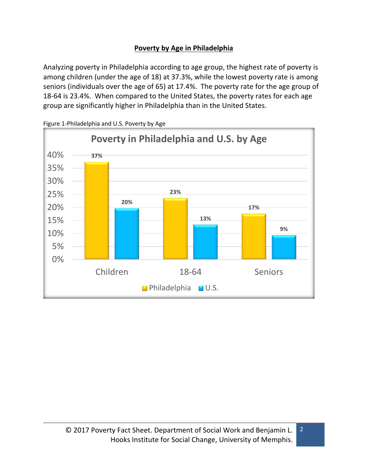#### **Poverty by Age in Philadelphia**

Analyzing poverty in Philadelphia according to age group, the highest rate of poverty is among children (under the age of 18) at 37.3%, while the lowest poverty rate is among seniors (individuals over the age of 65) at 17.4%. The poverty rate for the age group of 18-64 is 23.4%. When compared to the United States, the poverty rates for each age group are significantly higher in Philadelphia than in the United States.



Figure 1-Philadelphia and U.S. Poverty by Age

2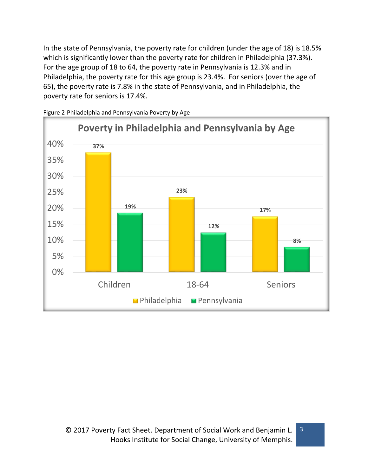In the state of Pennsylvania, the poverty rate for children (under the age of 18) is 18.5% which is significantly lower than the poverty rate for children in Philadelphia (37.3%). For the age group of 18 to 64, the poverty rate in Pennsylvania is 12.3% and in Philadelphia, the poverty rate for this age group is 23.4%. For seniors (over the age of 65), the poverty rate is 7.8% in the state of Pennsylvania, and in Philadelphia, the poverty rate for seniors is 17.4%.



Figure 2-Philadelphia and Pennsylvania Poverty by Age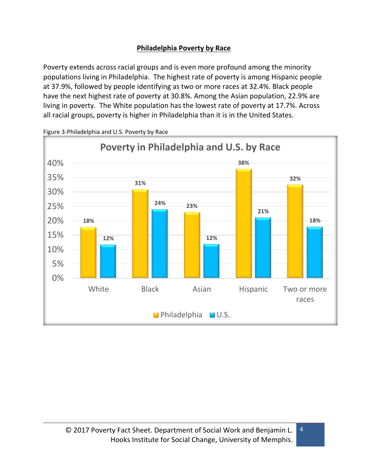#### **Philadelphia Poverty by Race**

Poverty extends across racial groups and is even more profound among the minority populations living in Philadelphia. The highest rate of poverty is among Hispanic people at 37.9%, followed by people identifying as two or more races at 32.4%. Black people have the next highest rate of poverty at 30.8%. Among the Asian population, 22.9% are living in poverty. The White population has the lowest rate of poverty at 17.7%. Across all racial groups, poverty is higher in Philadelphia than it is in the United States.



Figure 3-Philadelphia and U.S. Poverty by Race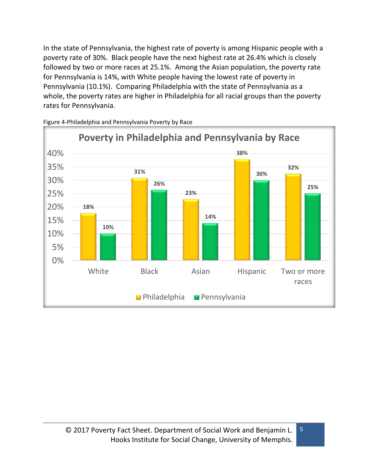In the state of Pennsylvania, the highest rate of poverty is among Hispanic people with a poverty rate of 30%. Black people have the next highest rate at 26.4% which is closely followed by two or more races at 25.1%. Among the Asian population, the poverty rate for Pennsylvania is 14%, with White people having the lowest rate of poverty in Pennsylvania (10.1%). Comparing Philadelphia with the state of Pennsylvania as a whole, the poverty rates are higher in Philadelphia for all racial groups than the poverty rates for Pennsylvania.



Figure 4-Philadelphia and Pennsylvania Poverty by Race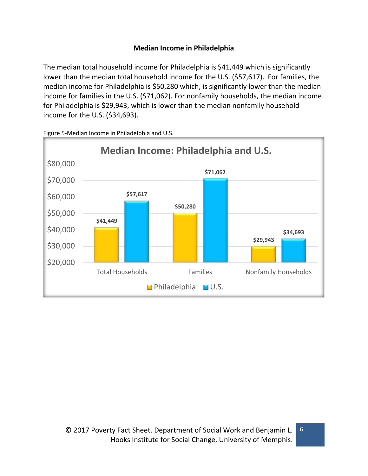#### **Median Income in Philadelphia**

The median total household income for Philadelphia is \$41,449 which is significantly lower than the median total household income for the U.S. (\$57,617). For families, the median income for Philadelphia is \$50,280 which, is significantly lower than the median income for families in the U.S. (\$71,062). For nonfamily households, the median income for Philadelphia is \$29,943, which is lower than the median nonfamily household income for the U.S. (\$34,693).



Figure 5-Median Income in Philadelphia and U.S.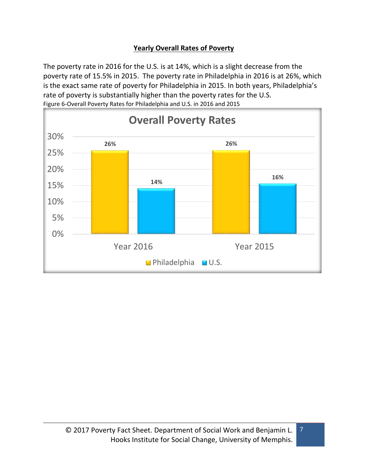#### **Yearly Overall Rates of Poverty**

The poverty rate in 2016 for the U.S. is at 14%, which is a slight decrease from the poverty rate of 15.5% in 2015. The poverty rate in Philadelphia in 2016 is at 26%, which is the exact same rate of poverty for Philadelphia in 2015. In both years, Philadelphia's rate of poverty is substantially higher than the poverty rates for the U.S. Figure 6-Overall Poverty Rates for Philadelphia and U.S. in 2016 and 2015

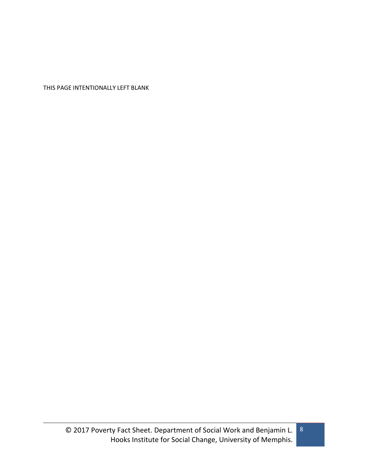THIS PAGE INTENTIONALLY LEFT BLANK